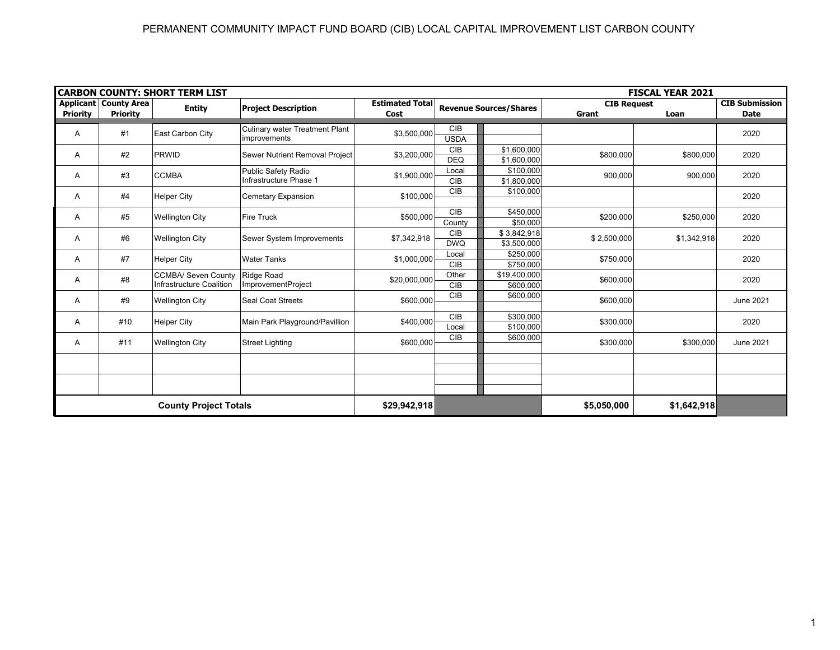| <b>CARBON COUNTY: SHORT TERM LIST</b><br><b>FISCAL YEAR 2021</b> |                                                   |                                                        |                                               |                                |                               |              |                             |             |                                      |  |  |
|------------------------------------------------------------------|---------------------------------------------------|--------------------------------------------------------|-----------------------------------------------|--------------------------------|-------------------------------|--------------|-----------------------------|-------------|--------------------------------------|--|--|
| <b>Priority</b>                                                  | <b>Applicant   County Area</b><br><b>Priority</b> | <b>Entity</b>                                          | <b>Project Description</b>                    | <b>Estimated Total</b><br>Cost | <b>Revenue Sources/Shares</b> |              | <b>CIB Request</b><br>Grant | Loan        | <b>CIB Submission</b><br><b>Date</b> |  |  |
|                                                                  |                                                   |                                                        | Culinary water Treatment Plant                |                                | <b>CIB</b>                    |              |                             |             |                                      |  |  |
| A                                                                | #1                                                | East Carbon City                                       | improvements                                  | \$3,500,000                    | <b>USDA</b>                   |              |                             |             | 2020                                 |  |  |
| A                                                                | #2                                                | <b>PRWID</b>                                           | Sewer Nutrient Removal Project                | \$3,200,000                    | <b>CIB</b>                    | \$1,600,000  |                             | \$800,000   | 2020                                 |  |  |
|                                                                  |                                                   |                                                        |                                               |                                | <b>DEQ</b>                    | \$1,600,000  | \$800,000                   |             |                                      |  |  |
| Α                                                                | #3                                                | <b>CCMBA</b>                                           | Public Safety Radio<br>Infrastructure Phase 1 | \$1,900,000                    | Local                         | \$100,000    | 900,000                     | 900,000     | 2020                                 |  |  |
|                                                                  |                                                   |                                                        |                                               |                                | <b>CIB</b>                    | \$1,800,000  |                             |             |                                      |  |  |
| A                                                                | #4                                                | <b>Helper City</b>                                     | Cemetary Expansion                            | \$100,000                      | CIB                           | \$100,000    |                             |             | 2020                                 |  |  |
|                                                                  |                                                   |                                                        |                                               |                                |                               |              |                             |             |                                      |  |  |
| Α                                                                | #5                                                | <b>Wellington City</b>                                 | <b>Fire Truck</b>                             | \$500,000                      | <b>CIB</b>                    | \$450,000    | \$200,000                   | \$250,000   | 2020                                 |  |  |
|                                                                  |                                                   |                                                        |                                               |                                | County                        | \$50,000     |                             |             |                                      |  |  |
| Α                                                                | #6                                                | <b>Wellington City</b>                                 | Sewer System Improvements                     | \$7,342,918                    | <b>CIB</b>                    | \$3,842,918  | \$2,500,000                 | \$1,342,918 | 2020                                 |  |  |
|                                                                  |                                                   |                                                        |                                               |                                | <b>DWQ</b>                    | \$3,500,000  |                             |             |                                      |  |  |
| A                                                                | #7                                                | <b>Helper City</b>                                     | <b>Water Tanks</b>                            | \$1,000,000                    | Local                         | \$250,000    | \$750,000                   |             | 2020                                 |  |  |
|                                                                  |                                                   |                                                        |                                               |                                | <b>CIB</b>                    | \$750,000    |                             |             |                                      |  |  |
| A                                                                | #8                                                | <b>CCMBA/ Seven County</b><br>Infrastructure Coalition | Ridge Road<br>ImprovementProject              | \$20,000,000                   | Other                         | \$19,400,000 | \$600,000                   |             | 2020                                 |  |  |
|                                                                  |                                                   |                                                        |                                               |                                | <b>CIB</b><br><b>CIB</b>      | \$600,000    |                             |             |                                      |  |  |
| A                                                                | #9                                                | <b>Wellington City</b>                                 | Seal Coat Streets                             | \$600,000                      |                               | \$600,000    | \$600,000                   |             | June 2021                            |  |  |
|                                                                  |                                                   |                                                        |                                               |                                | <b>CIB</b>                    | \$300,000    |                             |             |                                      |  |  |
| A                                                                | #10                                               | <b>Helper City</b>                                     | Main Park Playground/Pavillion                | \$400,000                      | Local                         | \$100,000    | \$300,000                   |             | 2020                                 |  |  |
|                                                                  |                                                   |                                                        |                                               |                                | CIB                           | \$600,000    |                             |             |                                      |  |  |
| A                                                                | #11                                               | <b>Wellington City</b>                                 | <b>Street Lighting</b>                        | \$600,000                      |                               |              | \$300,000                   | \$300,000   | June 2021                            |  |  |
|                                                                  |                                                   |                                                        |                                               |                                |                               |              |                             |             |                                      |  |  |
|                                                                  |                                                   |                                                        |                                               |                                |                               |              |                             |             |                                      |  |  |
|                                                                  |                                                   |                                                        |                                               |                                |                               |              |                             |             |                                      |  |  |
|                                                                  |                                                   |                                                        |                                               |                                |                               |              |                             |             |                                      |  |  |
| <b>County Project Totals</b>                                     |                                                   |                                                        | \$29,942,918                                  |                                |                               | \$5,050,000  | \$1,642,918                 |             |                                      |  |  |